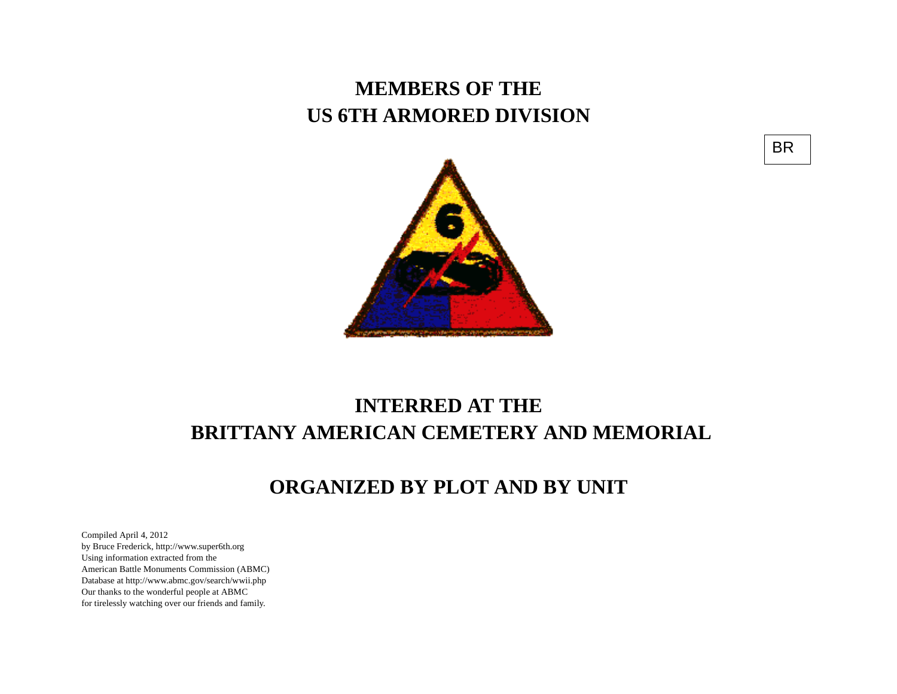## **MEMBERS OF THE US 6TH ARMORED DIVISION**





## **INTERRED AT THE BRITTANY AMERICAN CEMETERY AND MEMORIAL**

## **ORGANIZED BY PLOT AND BY UNIT**

Compiled April 4, 2012 by Bruce Frederick, http://www.super6th.orgUsing information extracted from the American Battle Monuments Commission (ABMC) Database at http://www.abmc.gov/search/wwii.phpOur thanks to the wonderful people at ABMC for tirelessly watching over our friends and family.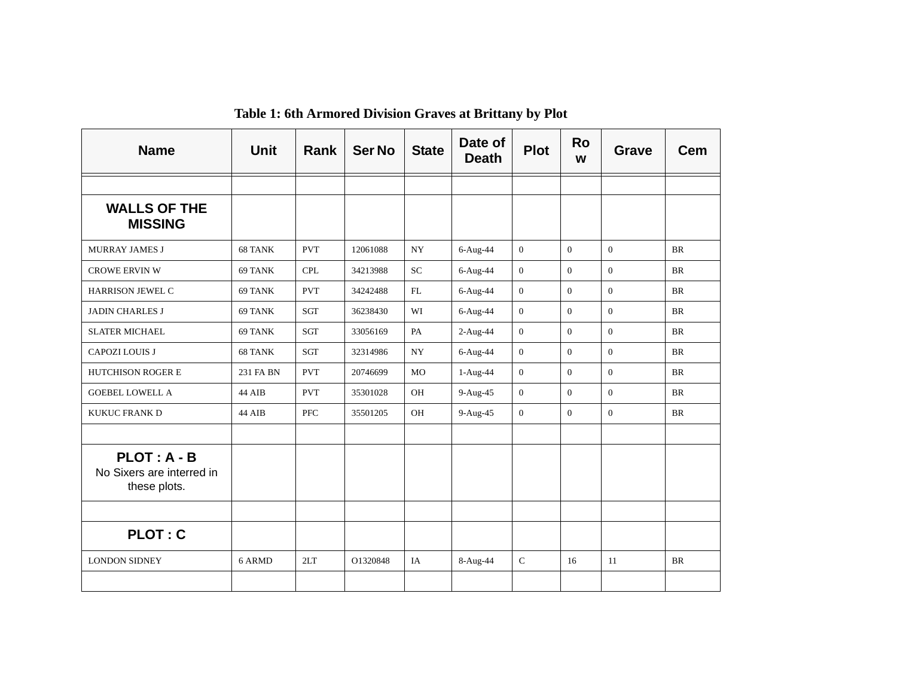| <b>Name</b>                                                | <b>Unit</b> | Rank       | <b>Ser No</b> | <b>State</b> | Date of<br><b>Death</b> | <b>Plot</b>    | <b>Ro</b><br>W | Grave        | Cem       |
|------------------------------------------------------------|-------------|------------|---------------|--------------|-------------------------|----------------|----------------|--------------|-----------|
|                                                            |             |            |               |              |                         |                |                |              |           |
| <b>WALLS OF THE</b><br><b>MISSING</b>                      |             |            |               |              |                         |                |                |              |           |
| <b>MURRAY JAMES J</b>                                      | 68 TANK     | <b>PVT</b> | 12061088      | <b>NY</b>    | $6-Aug-44$              | $\mathbf{0}$   | $\overline{0}$ | $\Omega$     | <b>BR</b> |
| <b>CROWE ERVIN W</b>                                       | 69 TANK     | <b>CPL</b> | 34213988      | <b>SC</b>    | $6-Aug-44$              | $\mathbf{0}$   | $\Omega$       | $\mathbf{0}$ | <b>BR</b> |
| <b>HARRISON JEWEL C</b>                                    | 69 TANK     | <b>PVT</b> | 34242488      | FL           | 6-Aug-44                | $\mathbf{0}$   | $\Omega$       | $\Omega$     | <b>BR</b> |
| <b>JADIN CHARLES J</b>                                     | 69 TANK     | SGT        | 36238430      | WI           | 6-Aug-44                | $\mathbf{0}$   | $\Omega$       | $\Omega$     | <b>BR</b> |
| <b>SLATER MICHAEL</b>                                      | 69 TANK     | <b>SGT</b> | 33056169      | PA           | $2-Aug-44$              | $\theta$       | $\Omega$       | $\Omega$     | <b>BR</b> |
| <b>CAPOZI LOUIS J</b>                                      | 68 TANK     | <b>SGT</b> | 32314986      | <b>NY</b>    | $6-Aug-44$              | $\theta$       | $\Omega$       | $\Omega$     | <b>BR</b> |
| <b>HUTCHISON ROGER E</b>                                   | 231 FA BN   | <b>PVT</b> | 20746699      | <b>MO</b>    | $1-Aug-44$              | $\mathbf{0}$   | $\mathbf{0}$   | $\mathbf{0}$ | <b>BR</b> |
| <b>GOEBEL LOWELL A</b>                                     | 44 AIB      | <b>PVT</b> | 35301028      | OH           | $9-Aug-45$              | $\mathbf{0}$   | $\Omega$       | $\Omega$     | <b>BR</b> |
| <b>KUKUC FRANK D</b>                                       | 44 AIB      | PFC        | 35501205      | OH           | 9-Aug-45                | $\overline{0}$ | $\Omega$       | $\mathbf{0}$ | <b>BR</b> |
|                                                            |             |            |               |              |                         |                |                |              |           |
| $PLOT: A - B$<br>No Sixers are interred in<br>these plots. |             |            |               |              |                         |                |                |              |           |
|                                                            |             |            |               |              |                         |                |                |              |           |
| <b>PLOT: C</b>                                             |             |            |               |              |                         |                |                |              |           |
| <b>LONDON SIDNEY</b>                                       | 6 ARMD      | 2LT        | O1320848      | IA           | $8-Aug-44$              | $\mathcal{C}$  | 16             | 11           | <b>BR</b> |
|                                                            |             |            |               |              |                         |                |                |              |           |

**Table 1: 6th Armored Division Graves at Brittany by Plot**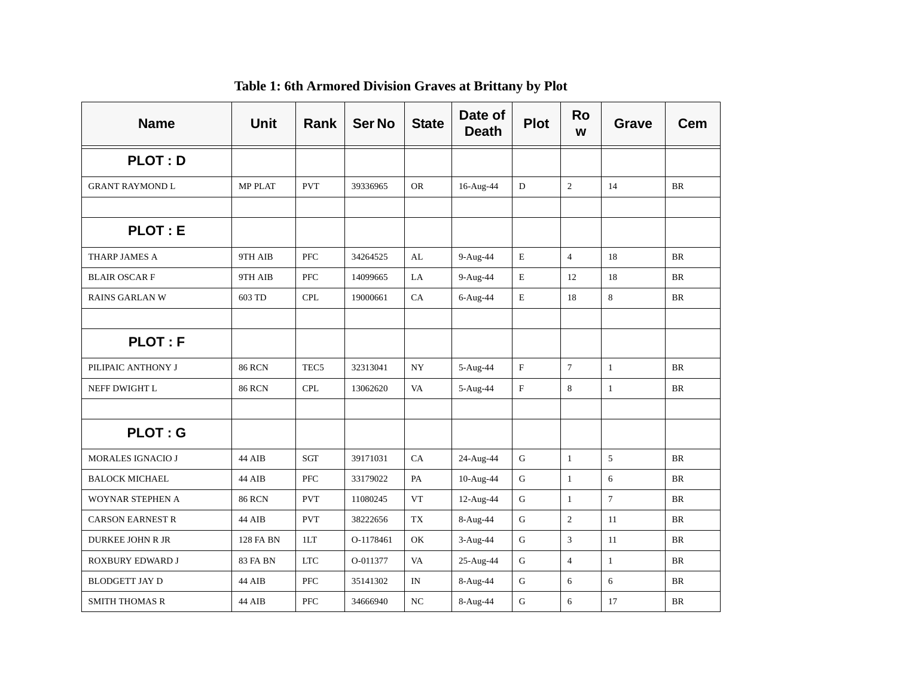| <b>Name</b>              | <b>Unit</b>     | <b>Rank</b>      | <b>Ser No</b> | <b>State</b>  | Date of<br><b>Death</b> | <b>Plot</b> | <b>Ro</b><br>W | Grave        | Cem       |
|--------------------------|-----------------|------------------|---------------|---------------|-------------------------|-------------|----------------|--------------|-----------|
| <b>PLOT: D</b>           |                 |                  |               |               |                         |             |                |              |           |
| <b>GRANT RAYMOND L</b>   | <b>MP PLAT</b>  | <b>PVT</b>       | 39336965      | <b>OR</b>     | 16-Aug-44               | D           | $\overline{2}$ | 14           | BR        |
|                          |                 |                  |               |               |                         |             |                |              |           |
| <b>PLOT: E</b>           |                 |                  |               |               |                         |             |                |              |           |
| THARP JAMES A            | 9TH AIB         | <b>PFC</b>       | 34264525      | AL            | 9-Aug-44                | E           | $\overline{4}$ | 18           | BR        |
| <b>BLAIR OSCARF</b>      | 9TH AIB         | PFC              | 14099665      | LA            | 9-Aug-44                | $\mathbf E$ | 12             | 18           | <b>BR</b> |
| <b>RAINS GARLAN W</b>    | 603 TD          | <b>CPL</b>       | 19000661      | CA            | 6-Aug-44                | E           | 18             | $8\,$        | <b>BR</b> |
|                          |                 |                  |               |               |                         |             |                |              |           |
| <b>PLOT: F</b>           |                 |                  |               |               |                         |             |                |              |           |
| PILIPAIC ANTHONY J       | <b>86 RCN</b>   | TEC <sub>5</sub> | 32313041      | NY            | 5-Aug-44                | $\mathbf F$ | $\overline{7}$ | $\mathbf{1}$ | BR        |
| NEFF DWIGHT L            | <b>86 RCN</b>   | <b>CPL</b>       | 13062620      | VA            | 5-Aug-44                | $\mathbf F$ | 8              | $\mathbf{1}$ | BR        |
|                          |                 |                  |               |               |                         |             |                |              |           |
| <b>PLOT: G</b>           |                 |                  |               |               |                         |             |                |              |           |
| <b>MORALES IGNACIO J</b> | 44 AIB          | <b>SGT</b>       | 39171031      | CA            | 24-Aug-44               | G           | $\mathbf{1}$   | 5            | <b>BR</b> |
| <b>BALOCK MICHAEL</b>    | 44 AIB          | <b>PFC</b>       | 33179022      | $\mathbf{PA}$ | 10-Aug-44               | $\mathbf G$ | $\mathbf{1}$   | 6            | <b>BR</b> |
| WOYNAR STEPHEN A         | <b>86 RCN</b>   | <b>PVT</b>       | 11080245      | <b>VT</b>     | 12-Aug-44               | ${\bf G}$   | $\mathbf{1}$   | $\tau$       | BR        |
| <b>CARSON EARNEST R</b>  | 44 AIB          | <b>PVT</b>       | 38222656      | TX            | 8-Aug-44                | ${\bf G}$   | $\overline{2}$ | 11           | <b>BR</b> |
| <b>DURKEE JOHN R JR</b>  | 128 FA BN       | 1LT              | O-1178461     | OK            | $3-Aug-44$              | $\mathbf G$ | 3              | 11           | BR        |
| ROXBURY EDWARD J         | <b>83 FA BN</b> | <b>LTC</b>       | O-011377      | VA            | 25-Aug-44               | G           | $\overline{4}$ | $\mathbf{1}$ | <b>BR</b> |
| <b>BLODGETT JAY D</b>    | 44 AIB          | <b>PFC</b>       | 35141302      | IN            | 8-Aug-44                | $\mathbf G$ | 6              | 6            | <b>BR</b> |
| <b>SMITH THOMAS R</b>    | 44 AIB          | <b>PFC</b>       | 34666940      | NC            | 8-Aug-44                | G           | 6              | 17           | <b>BR</b> |

**Table 1: 6th Armored Division Graves at Brittany by Plot**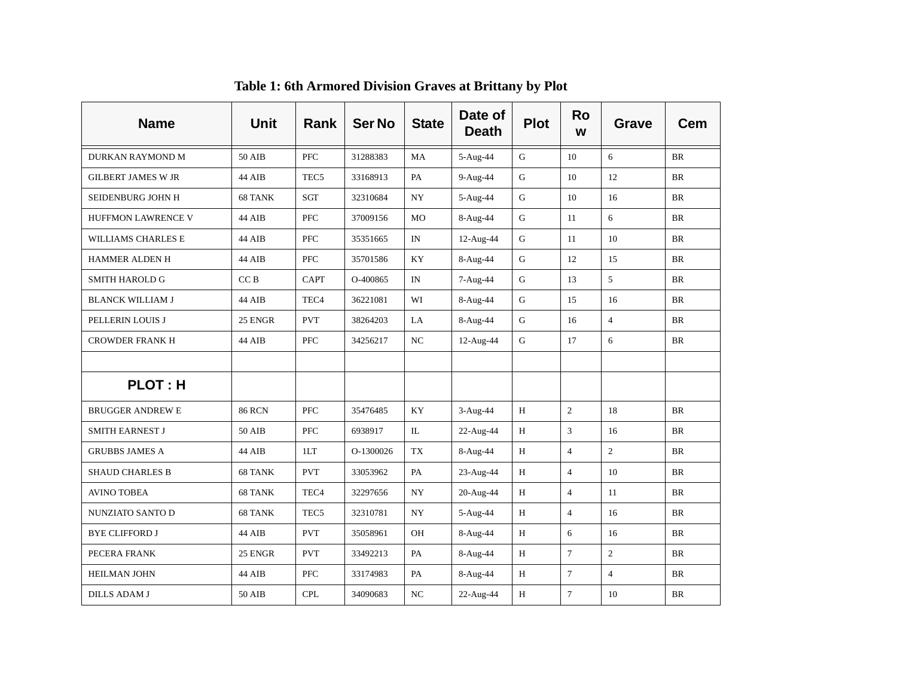| <b>Name</b>               | Unit            | <b>Rank</b>      | <b>Ser No</b> | <b>State</b> | Date of<br><b>Death</b> | <b>Plot</b>  | <b>Ro</b><br>W | Grave          | Cem       |
|---------------------------|-----------------|------------------|---------------|--------------|-------------------------|--------------|----------------|----------------|-----------|
| DURKAN RAYMOND M          | 50 AIB          | <b>PFC</b>       | 31288383      | MA           | 5-Aug-44                | G            | 10             | 6              | <b>BR</b> |
| <b>GILBERT JAMES W JR</b> | 44 AIB          | TEC <sub>5</sub> | 33168913      | PA           | 9-Aug-44                | G            | 10             | 12             | BR        |
| SEIDENBURG JOHN H         | 68 TANK         | SGT              | 32310684      | NY           | 5-Aug-44                | G            | 10             | 16             | <b>BR</b> |
| HUFFMON LAWRENCE V        | 44 AIB          | PFC              | 37009156      | MO           | 8-Aug-44                | G            | 11             | 6              | <b>BR</b> |
| WILLIAMS CHARLES E        | 44 AIB          | PFC              | 35351665      | IN           | 12-Aug-44               | $\mathbf G$  | 11             | 10             | BR        |
| <b>HAMMER ALDEN H</b>     | 44 AIB          | <b>PFC</b>       | 35701586      | KY           | 8-Aug-44                | G            | 12             | 15             | <b>BR</b> |
| <b>SMITH HAROLD G</b>     | CC <sub>B</sub> | <b>CAPT</b>      | O-400865      | IN           | 7-Aug-44                | $\mathsf{G}$ | 13             | 5              | <b>BR</b> |
| <b>BLANCK WILLIAM J</b>   | 44 AIB          | TEC <sub>4</sub> | 36221081      | WI           | 8-Aug-44                | G            | 15             | 16             | BR        |
| PELLERIN LOUIS J          | 25 ENGR         | <b>PVT</b>       | 38264203      | LA           | 8-Aug-44                | G            | 16             | $\overline{4}$ | <b>BR</b> |
| <b>CROWDER FRANK H</b>    | 44 AIB          | PFC              | 34256217      | NC           | 12-Aug-44               | ${\bf G}$    | 17             | 6              | <b>BR</b> |
|                           |                 |                  |               |              |                         |              |                |                |           |
| <b>PLOT: H</b>            |                 |                  |               |              |                         |              |                |                |           |
| <b>BRUGGER ANDREW E</b>   | <b>86 RCN</b>   | <b>PFC</b>       | 35476485      | <b>KY</b>    | 3-Aug-44                | H            | $\overline{2}$ | 18             | <b>BR</b> |
| <b>SMITH EARNEST J</b>    | 50 AIB          | <b>PFC</b>       | 6938917       | IL           | 22-Aug-44               | H            | $\overline{3}$ | 16             | <b>BR</b> |
| <b>GRUBBS JAMES A</b>     | 44 AIB          | 1LT              | O-1300026     | TX           | 8-Aug-44                | $\, {\rm H}$ | $\overline{4}$ | $\overline{2}$ | <b>BR</b> |
| <b>SHAUD CHARLES B</b>    | 68 TANK         | <b>PVT</b>       | 33053962      | PA           | 23-Aug-44               | H            | $\overline{4}$ | 10             | <b>BR</b> |
| <b>AVINO TOBEA</b>        | 68 TANK         | TEC <sub>4</sub> | 32297656      | NY           | 20-Aug-44               | H            | $\overline{4}$ | 11             | BR        |
| NUNZIATO SANTO D          | 68 TANK         | TEC <sub>5</sub> | 32310781      | NY           | 5-Aug-44                | H            | $\overline{4}$ | 16             | <b>BR</b> |
| <b>BYE CLIFFORD J</b>     | 44 AIB          | <b>PVT</b>       | 35058961      | OН           | 8-Aug-44                | H            | 6              | 16             | <b>BR</b> |
| PECERA FRANK              | 25 ENGR         | <b>PVT</b>       | 33492213      | PA           | 8-Aug-44                | H            | $\overline{7}$ | $\overline{2}$ | <b>BR</b> |
| HEILMAN JOHN              | 44 AIB          | <b>PFC</b>       | 33174983      | PA           | 8-Aug-44                | H            | $\tau$         | $\overline{4}$ | <b>BR</b> |
| <b>DILLS ADAM J</b>       | <b>50 AIB</b>   | <b>CPL</b>       | 34090683      | NC           | 22-Aug-44               | H            | $\overline{7}$ | 10             | BR        |

**Table 1: 6th Armored Division Graves at Brittany by Plot**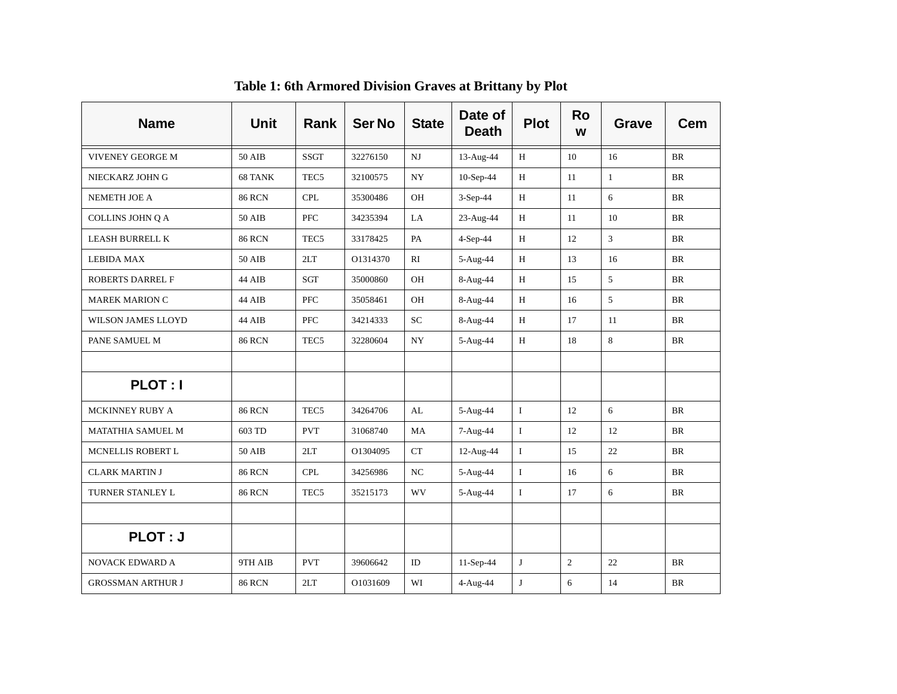| <b>Name</b>              | Unit          | <b>Rank</b>      | <b>Ser No</b> | <b>State</b> | Date of<br><b>Death</b> | <b>Plot</b>  | <b>Ro</b><br>W | <b>Grave</b>   | Cem       |
|--------------------------|---------------|------------------|---------------|--------------|-------------------------|--------------|----------------|----------------|-----------|
| VIVENEY GEORGE M         | 50 AIB        | <b>SSGT</b>      | 32276150      | $_{\rm NJ}$  | 13-Aug-44               | H            | 10             | 16             | <b>BR</b> |
| NIECKARZ JOHN G          | 68 TANK       | TEC <sub>5</sub> | 32100575      | <b>NY</b>    | 10-Sep-44               | H            | 11             | $\mathbf{1}$   | <b>BR</b> |
| NEMETH JOE A             | <b>86 RCN</b> | <b>CPL</b>       | 35300486      | OH           | 3-Sep-44                | H            | 11             | 6              | <b>BR</b> |
| COLLINS JOHN Q A         | <b>50 AIB</b> | PFC              | 34235394      | LA           | 23-Aug-44               | $\, {\rm H}$ | 11             | 10             | <b>BR</b> |
| <b>LEASH BURRELL K</b>   | <b>86 RCN</b> | TEC <sub>5</sub> | 33178425      | PA           | 4-Sep-44                | H            | 12             | $\overline{3}$ | <b>BR</b> |
| <b>LEBIDA MAX</b>        | 50 AIB        | 2LT              | O1314370      | RI           | 5-Aug-44                | H            | 13             | 16             | <b>BR</b> |
| ROBERTS DARREL F         | 44 AIB        | SGT              | 35000860      | OH           | 8-Aug-44                | H            | 15             | $\overline{5}$ | BR        |
| <b>MAREK MARION C</b>    | 44 AIB        | <b>PFC</b>       | 35058461      | OH           | 8-Aug-44                | H            | 16             | 5              | <b>BR</b> |
| WILSON JAMES LLOYD       | 44 AIB        | PFC              | 34214333      | <b>SC</b>    | 8-Aug-44                | $\, {\rm H}$ | 17             | 11             | BR        |
| PANE SAMUEL M            | <b>86 RCN</b> | TEC <sub>5</sub> | 32280604      | NY           | 5-Aug-44                | H            | 18             | 8              | <b>BR</b> |
|                          |               |                  |               |              |                         |              |                |                |           |
| <b>PLOT: I</b>           |               |                  |               |              |                         |              |                |                |           |
| MCKINNEY RUBY A          | <b>86 RCN</b> | TEC <sub>5</sub> | 34264706      | AL           | 5-Aug-44                | $\mathbf{I}$ | 12             | 6              | <b>BR</b> |
| MATATHIA SAMUEL M        | 603 TD        | <b>PVT</b>       | 31068740      | <b>MA</b>    | 7-Aug-44                | $\mathbf{I}$ | 12             | 12             | <b>BR</b> |
| MCNELLIS ROBERT L        | <b>50 AIB</b> | 2LT              | O1304095      | CT           | 12-Aug-44               | $\rm I$      | 15             | 22             | <b>BR</b> |
| <b>CLARK MARTIN J</b>    | <b>86 RCN</b> | <b>CPL</b>       | 34256986      | NC           | 5-Aug-44                | $\bf{I}$     | 16             | 6              | <b>BR</b> |
| TURNER STANLEY L         | <b>86 RCN</b> | TEC <sub>5</sub> | 35215173      | <b>WV</b>    | 5-Aug-44                | $\mathbf I$  | 17             | 6              | BR        |
|                          |               |                  |               |              |                         |              |                |                |           |
| <b>PLOT: J</b>           |               |                  |               |              |                         |              |                |                |           |
| NOVACK EDWARD A          | 9TH AIB       | <b>PVT</b>       | 39606642      | ID           | 11-Sep-44               | J            | $\overline{c}$ | 22             | BR        |
| <b>GROSSMAN ARTHUR J</b> | <b>86 RCN</b> | 2LT              | O1031609      | WI           | 4-Aug-44                | ${\bf J}$    | 6              | 14             | <b>BR</b> |

**Table 1: 6th Armored Division Graves at Brittany by Plot**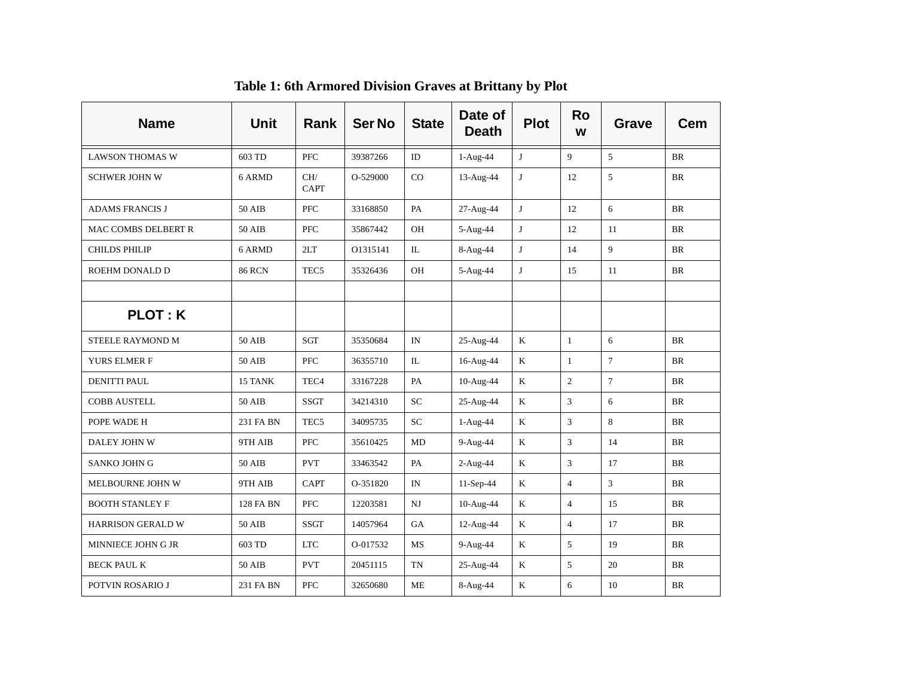| <b>Name</b>            | <b>Unit</b>      | Rank               | <b>Ser No</b> | <b>State</b>           | Date of<br><b>Death</b> | <b>Plot</b>  | <b>Ro</b><br>W | Grave          | Cem       |
|------------------------|------------------|--------------------|---------------|------------------------|-------------------------|--------------|----------------|----------------|-----------|
| <b>LAWSON THOMAS W</b> | 603 TD           | PFC                | 39387266      | ID                     | 1-Aug-44                | J            | 9              | 5              | <b>BR</b> |
| <b>SCHWER JOHN W</b>   | 6 ARMD           | CH/<br><b>CAPT</b> | O-529000      | CO                     | 13-Aug-44               | J            | 12             | 5              | <b>BR</b> |
| <b>ADAMS FRANCIS J</b> | <b>50 AIB</b>    | PFC                | 33168850      | PA                     | 27-Aug-44               | $\bf J$      | 12             | 6              | <b>BR</b> |
| MAC COMBS DELBERT R    | 50 AIB           | <b>PFC</b>         | 35867442      | OН                     | 5-Aug-44                | J            | 12             | 11             | <b>BR</b> |
| <b>CHILDS PHILIP</b>   | 6 ARMD           | 2LT                | 01315141      | IL.                    | 8-Aug-44                | J            | 14             | 9              | <b>BR</b> |
| ROEHM DONALD D         | <b>86 RCN</b>    | TEC <sub>5</sub>   | 35326436      | OH                     | 5-Aug-44                | $\mathbf{J}$ | 15             | 11             | <b>BR</b> |
|                        |                  |                    |               |                        |                         |              |                |                |           |
| <b>PLOT: K</b>         |                  |                    |               |                        |                         |              |                |                |           |
| STEELE RAYMOND M       | 50 AIB           | SGT                | 35350684      | IN                     | 25-Aug-44               | $\mathbf K$  | $\mathbf{1}$   | 6              | <b>BR</b> |
| YURS ELMER F           | 50 AIB           | <b>PFC</b>         | 36355710      | IL                     | 16-Aug-44               | $\rm K$      | $\mathbf{1}$   | $\overline{7}$ | <b>BR</b> |
| <b>DENITTI PAUL</b>    | 15 TANK          | TEC <sub>4</sub>   | 33167228      | PA                     | 10-Aug-44               | $\mathbf K$  | $\overline{2}$ | $\overline{7}$ | <b>BR</b> |
| <b>COBB AUSTELL</b>    | 50 AIB           | SSGT               | 34214310      | SC                     | 25-Aug-44               | K            | 3              | 6              | <b>BR</b> |
| POPE WADE H            | 231 FA BN        | TEC <sub>5</sub>   | 34095735      | SC                     | 1-Aug-44                | $\rm K$      | 3              | 8              | <b>BR</b> |
| DALEY JOHN W           | 9TH AIB          | PFC                | 35610425      | <b>MD</b>              | 9-Aug-44                | K            | 3              | 14             | <b>BR</b> |
| SANKO JOHN G           | 50 AIB           | <b>PVT</b>         | 33463542      | PA                     | 2-Aug-44                | $\rm K$      | 3              | 17             | $\rm{BR}$ |
| MELBOURNE JOHN W       | 9TH AIB          | <b>CAPT</b>        | O-351820      | IN                     | $11-Sep-44$             | $\rm K$      | $\overline{4}$ | $\mathfrak{Z}$ | $\rm{BR}$ |
| <b>BOOTH STANLEY F</b> | <b>128 FA BN</b> | <b>PFC</b>         | 12203581      | $\mathbf{N}\mathbf{J}$ | 10-Aug-44               | $\mathbf K$  | $\overline{4}$ | 15             | <b>BR</b> |
| HARRISON GERALD W      | 50 AIB           | <b>SSGT</b>        | 14057964      | GA                     | 12-Aug-44               | $\mathbf K$  | $\overline{4}$ | 17             | <b>BR</b> |
| MINNIECE JOHN G JR     | 603 TD           | <b>LTC</b>         | O-017532      | MS                     | 9-Aug-44                | K            | 5              | 19             | $\rm{BR}$ |
| <b>BECK PAUL K</b>     | <b>50 AIB</b>    | <b>PVT</b>         | 20451115      | TN                     | 25-Aug-44               | K            | 5              | 20             | BR        |
| POTVIN ROSARIO J       | 231 FA BN        | PFC                | 32650680      | ME                     | 8-Aug-44                | K            | 6              | 10             | <b>BR</b> |

**Table 1: 6th Armored Division Graves at Brittany by Plot**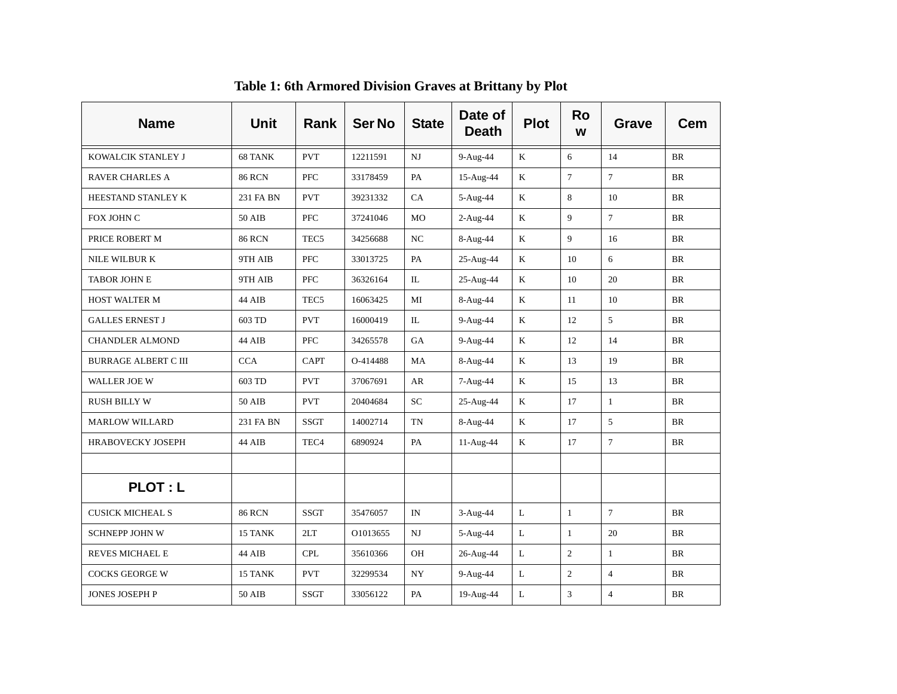| <b>Name</b>                 | <b>Unit</b>   | <b>Rank</b>      | <b>Ser No</b> | <b>State</b> | Date of<br><b>Death</b> | <b>Plot</b>  | <b>Ro</b><br>W | Grave          | Cem       |
|-----------------------------|---------------|------------------|---------------|--------------|-------------------------|--------------|----------------|----------------|-----------|
| KOWALCIK STANLEY J          | 68 TANK       | <b>PVT</b>       | 12211591      | NJ           | 9-Aug-44                | K            | 6              | 14             | BR        |
| <b>RAVER CHARLES A</b>      | <b>86 RCN</b> | <b>PFC</b>       | 33178459      | PA           | 15-Aug-44               | K            | $\tau$         | $\overline{7}$ | <b>BR</b> |
| HEESTAND STANLEY K          | 231 FA BN     | <b>PVT</b>       | 39231332      | CA           | 5-Aug-44                | $\rm K$      | 8              | 10             | <b>BR</b> |
| FOX JOHN C                  | 50 AIB        | <b>PFC</b>       | 37241046      | MO           | 2-Aug-44                | K            | 9              | $\overline{7}$ | <b>BR</b> |
| PRICE ROBERT M              | <b>86 RCN</b> | TEC <sub>5</sub> | 34256688      | NC           | 8-Aug-44                | $\rm K$      | 9              | 16             | <b>BR</b> |
| NILE WILBUR K               | 9TH AIB       | <b>PFC</b>       | 33013725      | PA           | 25-Aug-44               | K            | 10             | 6              | <b>BR</b> |
| <b>TABOR JOHN E</b>         | 9TH AIB       | <b>PFC</b>       | 36326164      | $\Pi$ .      | 25-Aug-44               | $\mathbf K$  | 10             | 20             | <b>BR</b> |
| <b>HOST WALTER M</b>        | 44 AIB        | TEC <sub>5</sub> | 16063425      | MI           | 8-Aug-44                | K            | 11             | 10             | <b>BR</b> |
| <b>GALLES ERNEST J</b>      | 603 TD        | <b>PVT</b>       | 16000419      | IL           | 9-Aug-44                | K            | 12             | 5              | <b>BR</b> |
| <b>CHANDLER ALMOND</b>      | 44 AIB        | PFC              | 34265578      | GA           | 9-Aug-44                | K            | 12             | 14             | BR        |
| <b>BURRAGE ALBERT C III</b> | <b>CCA</b>    | <b>CAPT</b>      | O-414488      | MA           | 8-Aug-44                | $\rm K$      | 13             | 19             | <b>BR</b> |
| WALLER JOE W                | 603 TD        | <b>PVT</b>       | 37067691      | AR           | 7-Aug-44                | $\rm K$      | 15             | 13             | BR        |
| <b>RUSH BILLY W</b>         | 50 AIB        | <b>PVT</b>       | 20404684      | <b>SC</b>    | 25-Aug-44               | $\mathbf K$  | 17             | $\mathbf{1}$   | <b>BR</b> |
| <b>MARLOW WILLARD</b>       | 231 FA BN     | <b>SSGT</b>      | 14002714      | <b>TN</b>    | 8-Aug-44                | $\mathbf K$  | 17             | 5              | <b>BR</b> |
| HRABOVECKY JOSEPH           | 44 AIB        | TEC <sub>4</sub> | 6890924       | PA           | 11-Aug-44               | $\rm K$      | 17             | $\overline{7}$ | <b>BR</b> |
|                             |               |                  |               |              |                         |              |                |                |           |
| <b>PLOT: L</b>              |               |                  |               |              |                         |              |                |                |           |
| <b>CUSICK MICHEAL S</b>     | <b>86 RCN</b> | <b>SSGT</b>      | 35476057      | IN           | 3-Aug-44                | $\mathbf{L}$ | $\mathbf{1}$   | $\overline{7}$ | <b>BR</b> |
| <b>SCHNEPP JOHN W</b>       | 15 TANK       | 2LT              | O1013655      | NJ           | 5-Aug-44                | $\mathbf{L}$ | $\mathbf{1}$   | 20             | <b>BR</b> |
| REVES MICHAEL E             | 44 AIB        | CPL              | 35610366      | OH           | 26-Aug-44               | $\mathbf L$  | $\overline{c}$ | $\mathbf{1}$   | <b>BR</b> |
| <b>COCKS GEORGE W</b>       | 15 TANK       | <b>PVT</b>       | 32299534      | NY           | 9-Aug-44                | $\mathbf L$  | $\overline{2}$ | $\overline{4}$ | <b>BR</b> |
| <b>JONES JOSEPH P</b>       | 50 AIB        | <b>SSGT</b>      | 33056122      | PA           | 19-Aug-44               | L            | 3              | $\overline{4}$ | BR        |

**Table 1: 6th Armored Division Graves at Brittany by Plot**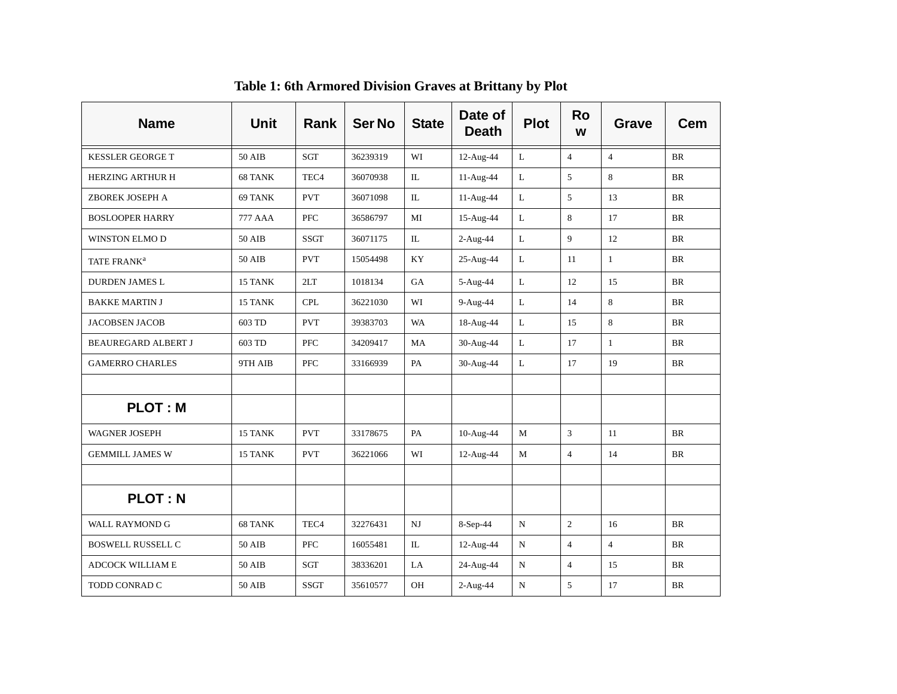| <b>Name</b>                | <b>Unit</b>   | Rank             | <b>Ser No</b> | <b>State</b> | Date of<br><b>Death</b> | <b>Plot</b>  | <b>Ro</b><br>W | <b>Grave</b>   | Cem       |
|----------------------------|---------------|------------------|---------------|--------------|-------------------------|--------------|----------------|----------------|-----------|
| <b>KESSLER GEORGE T</b>    | 50 AIB        | SGT              | 36239319      | WI           | 12-Aug-44               | $\mathbf{L}$ | $\overline{4}$ | $\overline{4}$ | <b>BR</b> |
| <b>HERZING ARTHUR H</b>    | 68 TANK       | TEC <sub>4</sub> | 36070938      | IL           | 11-Aug-44               | L            | 5              | 8              | <b>BR</b> |
| ZBOREK JOSEPH A            | 69 TANK       | <b>PVT</b>       | 36071098      | IL           | 11-Aug-44               | $\mathbf{L}$ | 5              | 13             | <b>BR</b> |
| <b>BOSLOOPER HARRY</b>     | 777 AAA       | PFC              | 36586797      | MI           | 15-Aug-44               | $\mathbf{L}$ | 8              | 17             | <b>BR</b> |
| WINSTON ELMO D             | <b>50 AIB</b> | <b>SSGT</b>      | 36071175      | $\rm IL$     | 2-Aug-44                | $\mathbf L$  | 9              | 12             | $\rm{BR}$ |
| TATE FRANK <sup>a</sup>    | <b>50 AIB</b> | <b>PVT</b>       | 15054498      | <b>KY</b>    | 25-Aug-44               | L            | 11             | $\mathbf{1}$   | $\rm{BR}$ |
| <b>DURDEN JAMES L</b>      | 15 TANK       | 2LT              | 1018134       | GA           | 5-Aug-44                | L            | 12             | 15             | <b>BR</b> |
| <b>BAKKE MARTIN J</b>      | 15 TANK       | <b>CPL</b>       | 36221030      | WI           | 9-Aug-44                | $\mathbf{L}$ | 14             | 8              | <b>BR</b> |
| <b>JACOBSEN JACOB</b>      | 603 TD        | <b>PVT</b>       | 39383703      | <b>WA</b>    | 18-Aug-44               | $\mathbf L$  | 15             | 8              | <b>BR</b> |
| <b>BEAUREGARD ALBERT J</b> | 603 TD        | PFC              | 34209417      | MA           | 30-Aug-44               | L            | 17             | $\mathbf{1}$   | <b>BR</b> |
| <b>GAMERRO CHARLES</b>     | 9TH AIB       | PFC              | 33166939      | PA           | 30-Aug-44               | $\mathbf L$  | 17             | 19             | <b>BR</b> |
|                            |               |                  |               |              |                         |              |                |                |           |
| <b>PLOT: M</b>             |               |                  |               |              |                         |              |                |                |           |
| <b>WAGNER JOSEPH</b>       | 15 TANK       | <b>PVT</b>       | 33178675      | PA           | 10-Aug-44               | M            | 3              | 11             | <b>BR</b> |
| <b>GEMMILL JAMES W</b>     | 15 TANK       | <b>PVT</b>       | 36221066      | WI           | 12-Aug-44               | M            | $\overline{4}$ | 14             | <b>BR</b> |
|                            |               |                  |               |              |                         |              |                |                |           |
| <b>PLOT: N</b>             |               |                  |               |              |                         |              |                |                |           |
| <b>WALL RAYMOND G</b>      | 68 TANK       | TEC <sub>4</sub> | 32276431      | NJ           | 8-Sep-44                | $\mathbf N$  | $\overline{c}$ | 16             | <b>BR</b> |
| <b>BOSWELL RUSSELL C</b>   | 50 AIB        | <b>PFC</b>       | 16055481      | IL           | 12-Aug-44               | ${\bf N}$    | $\overline{4}$ | $\overline{4}$ | <b>BR</b> |
| <b>ADCOCK WILLIAM E</b>    | <b>50 AIB</b> | SGT              | 38336201      | LA           | 24-Aug-44               | ${\bf N}$    | $\overline{4}$ | 15             | $\rm{BR}$ |
| TODD CONRAD C              | 50 AIB        | <b>SSGT</b>      | 35610577      | OH           | $2-Aug-44$              | N            | 5              | 17             | <b>BR</b> |

**Table 1: 6th Armored Division Graves at Brittany by Plot**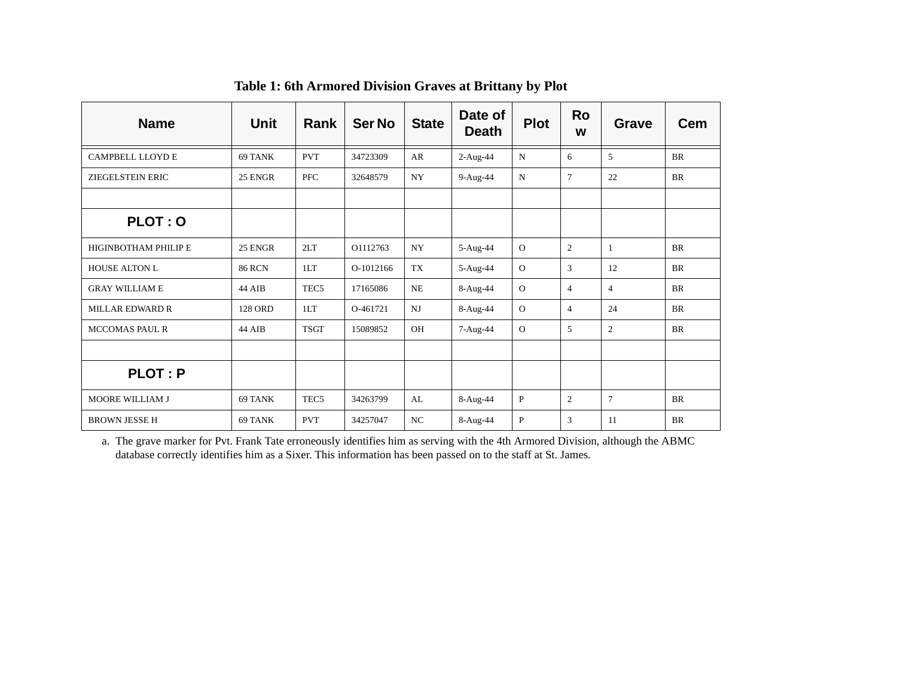| <b>Name</b>                 | Unit          | <b>Rank</b>      | <b>Ser No</b> | <b>State</b>   | Date of<br><b>Death</b> | <b>Plot</b>  | Ro<br>W        | <b>Grave</b>   | <b>Cem</b> |
|-----------------------------|---------------|------------------|---------------|----------------|-------------------------|--------------|----------------|----------------|------------|
| <b>CAMPBELL LLOYDE</b>      | 69 TANK       | <b>PVT</b>       | 34723309      | AR             | $2-Aug-44$              | N            | 6              | 5              | <b>BR</b>  |
| ZIEGELSTEIN ERIC            | 25 ENGR       | <b>PFC</b>       | 32648579      | <b>NY</b>      | 9-Aug-44                | N            | $\tau$         | 22             | <b>BR</b>  |
|                             |               |                  |               |                |                         |              |                |                |            |
| PLOT: 0                     |               |                  |               |                |                         |              |                |                |            |
| <b>HIGINBOTHAM PHILIP E</b> | 25 ENGR       | 2LT              | O1112763      | <b>NY</b>      | 5-Aug-44                | $\Omega$     | $\overline{c}$ | $\mathbf{1}$   | <b>BR</b>  |
| <b>HOUSE ALTON L</b>        | <b>86 RCN</b> | 1LT              | O-1012166     | <b>TX</b>      | 5-Aug-44                | $\Omega$     | 3              | 12             | <b>BR</b>  |
| <b>GRAY WILLIAM E</b>       | 44 AIB        | TEC <sub>5</sub> | 17165086      | <b>NE</b>      | 8-Aug-44                | $\Omega$     | $\overline{4}$ | $\overline{4}$ | <b>BR</b>  |
| <b>MILLAR EDWARD R</b>      | 128 ORD       | 1LT              | O-461721      | N <sub>J</sub> | 8-Aug-44                | $\Omega$     | $\overline{4}$ | 24             | <b>BR</b>  |
| <b>MCCOMAS PAUL R</b>       | 44 AIB        | <b>TSGT</b>      | 15089852      | <b>OH</b>      | 7-Aug-44                | $\Omega$     | 5              | 2              | <b>BR</b>  |
|                             |               |                  |               |                |                         |              |                |                |            |
| <b>PLOT: P</b>              |               |                  |               |                |                         |              |                |                |            |
| <b>MOORE WILLIAM J</b>      | 69 TANK       | TEC <sub>5</sub> | 34263799      | AL             | 8-Aug-44                | $\mathbf{P}$ | $\mathfrak{2}$ | $\overline{7}$ | <b>BR</b>  |
| <b>BROWN JESSE H</b>        | 69 TANK       | <b>PVT</b>       | 34257047      | NC             | 8-Aug-44                | $\mathbf{P}$ | 3              | 11             | <b>BR</b>  |

**Table 1: 6th Armored Division Graves at Brittany by Plot**

a. The grave marker for Pvt. Frank Tate erroneously identifies him as serving with the 4th Armored Division, although the ABMC database correctly identifies him as a Sixer. This information has been passed on to the staff at St. James.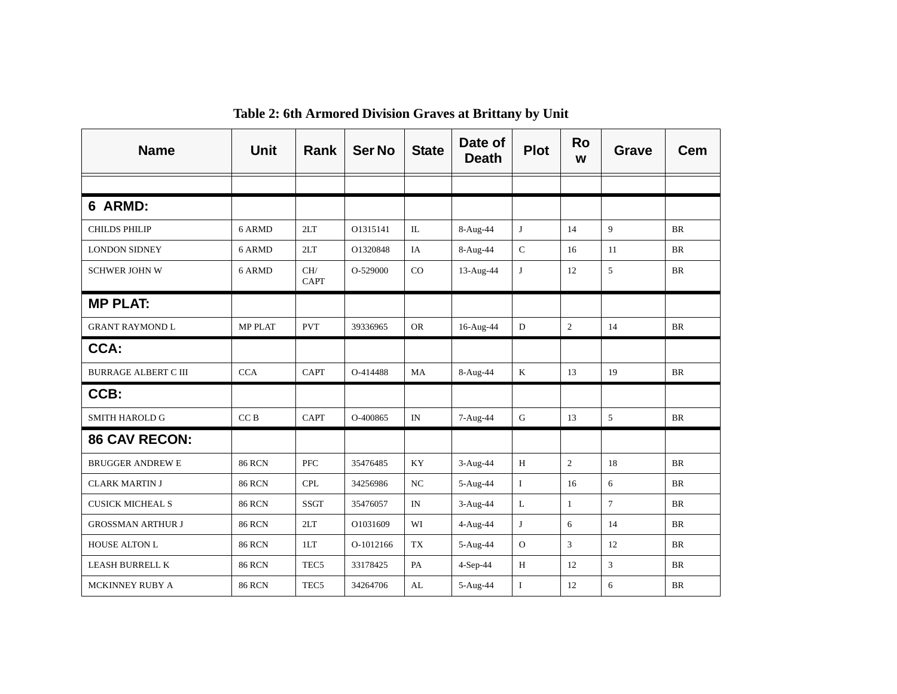| <b>Name</b>                 | <b>Unit</b>     | <b>Rank</b>        | <b>Ser No</b> | <b>State</b>             | Date of<br><b>Death</b> | <b>Plot</b>    | <b>Ro</b><br>W | <b>Grave</b>   | Cem       |
|-----------------------------|-----------------|--------------------|---------------|--------------------------|-------------------------|----------------|----------------|----------------|-----------|
|                             |                 |                    |               |                          |                         |                |                |                |           |
| 6 ARMD:                     |                 |                    |               |                          |                         |                |                |                |           |
| <b>CHILDS PHILIP</b>        | 6 ARMD          | 2LT                | 01315141      | IL                       | 8-Aug-44                | J              | 14             | 9              | <b>BR</b> |
| <b>LONDON SIDNEY</b>        | 6 ARMD          | 2LT                | O1320848      | IA                       | 8-Aug-44                | $\mathsf{C}$   | 16             | 11             | <b>BR</b> |
| <b>SCHWER JOHN W</b>        | 6 ARMD          | CH/<br><b>CAPT</b> | O-529000      | CO                       | 13-Aug-44               | $\mathbf{J}$   | 12             | 5              | <b>BR</b> |
| <b>MP PLAT:</b>             |                 |                    |               |                          |                         |                |                |                |           |
| <b>GRANT RAYMOND L</b>      | <b>MP PLAT</b>  | <b>PVT</b>         | 39336965      | <b>OR</b>                | 16-Aug-44               | D              | $\overline{c}$ | 14             | <b>BR</b> |
| CCA:                        |                 |                    |               |                          |                         |                |                |                |           |
| <b>BURRAGE ALBERT C III</b> | CCA             | <b>CAPT</b>        | O-414488      | MA                       | 8-Aug-44                | $\rm K$        | 13             | 19             | <b>BR</b> |
| CCB:                        |                 |                    |               |                          |                         |                |                |                |           |
| <b>SMITH HAROLD G</b>       | CC <sub>B</sub> | CAPT               | O-400865      | IN                       | 7-Aug-44                | $\mathbf G$    | 13             | 5              | <b>BR</b> |
| <b>86 CAV RECON:</b>        |                 |                    |               |                          |                         |                |                |                |           |
| <b>BRUGGER ANDREW E</b>     | <b>86 RCN</b>   | PFC                | 35476485      | KY                       | 3-Aug-44                | H              | $\overline{2}$ | 18             | <b>BR</b> |
| <b>CLARK MARTIN J</b>       | <b>86 RCN</b>   | <b>CPL</b>         | 34256986      | NC                       | 5-Aug-44                | $\bf{I}$       | 16             | 6              | <b>BR</b> |
| <b>CUSICK MICHEAL S</b>     | <b>86 RCN</b>   | SSGT               | 35476057      | $\ensuremath{\text{IN}}$ | $3-Aug-44$              | $\mathbf L$    | $\mathbf{1}$   | $\overline{7}$ | <b>BR</b> |
| <b>GROSSMAN ARTHUR J</b>    | <b>86 RCN</b>   | 2LT                | O1031609      | WI                       | 4-Aug-44                | J              | 6              | 14             | <b>BR</b> |
| <b>HOUSE ALTON L</b>        | <b>86 RCN</b>   | 1LT                | O-1012166     | <b>TX</b>                | 5-Aug-44                | $\overline{O}$ | 3              | 12             | <b>BR</b> |
| LEASH BURRELL K             | <b>86 RCN</b>   | TEC <sub>5</sub>   | 33178425      | PA                       | 4-Sep-44                | H              | 12             | 3              | <b>BR</b> |
| MCKINNEY RUBY A             | <b>86 RCN</b>   | TEC <sub>5</sub>   | 34264706      | AL                       | 5-Aug-44                | $\bf{I}$       | 12             | 6              | <b>BR</b> |

**Table 2: 6th Armored Division Graves at Brittany by Unit**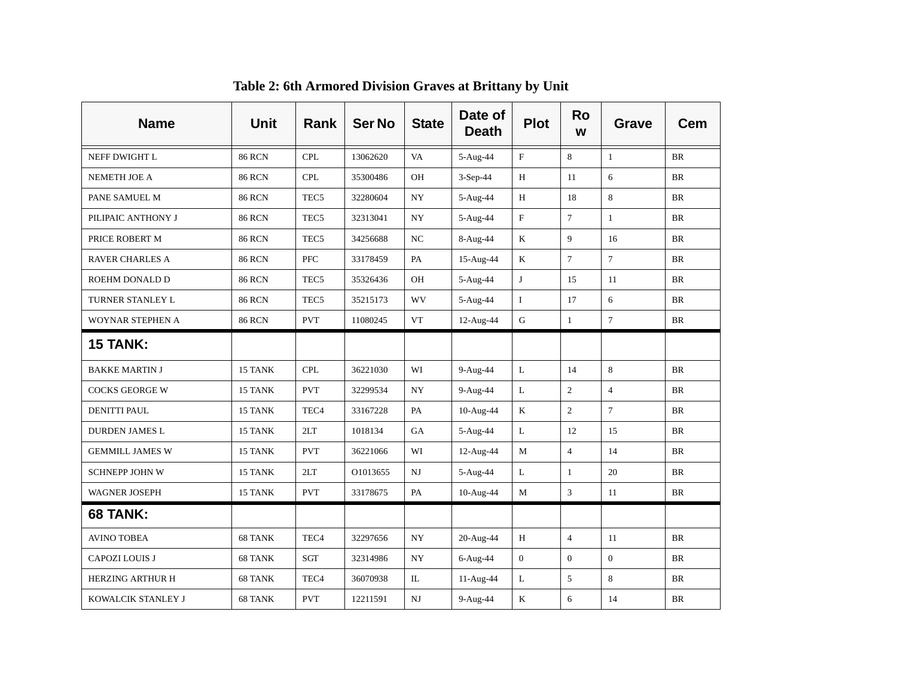| <b>Name</b>             | Unit          | <b>Rank</b>      | <b>Ser No</b> | <b>State</b> | Date of<br><b>Death</b> | <b>Plot</b>  | <b>Ro</b><br>W | <b>Grave</b>   | Cem       |
|-------------------------|---------------|------------------|---------------|--------------|-------------------------|--------------|----------------|----------------|-----------|
| NEFF DWIGHT L           | <b>86 RCN</b> | <b>CPL</b>       | 13062620      | VA           | 5-Aug-44                | $\mathbf F$  | 8              | $\mathbf{1}$   | <b>BR</b> |
| NEMETH JOE A            | <b>86 RCN</b> | <b>CPL</b>       | 35300486      | OH           | 3-Sep-44                | H            | 11             | 6              | BR        |
| PANE SAMUEL M           | <b>86 RCN</b> | TEC <sub>5</sub> | 32280604      | NY           | 5-Aug-44                | H            | 18             | 8              | <b>BR</b> |
| PILIPAIC ANTHONY J      | <b>86 RCN</b> | TEC <sub>5</sub> | 32313041      | NY           | 5-Aug-44                | F            | $\overline{7}$ | $\mathbf{1}$   | <b>BR</b> |
| PRICE ROBERT M          | <b>86 RCN</b> | TEC <sub>5</sub> | 34256688      | NC           | 8-Aug-44                | K            | 9              | 16             | <b>BR</b> |
| <b>RAVER CHARLES A</b>  | <b>86 RCN</b> | <b>PFC</b>       | 33178459      | PA           | 15-Aug-44               | K            | $\tau$         | $\overline{7}$ | <b>BR</b> |
| ROEHM DONALD D          | <b>86 RCN</b> | TEC <sub>5</sub> | 35326436      | OH           | 5-Aug-44                | $\mathbf{J}$ | 15             | 11             | <b>BR</b> |
| TURNER STANLEY L        | <b>86 RCN</b> | TEC <sub>5</sub> | 35215173      | WV           | 5-Aug-44                | $\mathbf{I}$ | 17             | 6              | <b>BR</b> |
| WOYNAR STEPHEN A        | <b>86 RCN</b> | <b>PVT</b>       | 11080245      | <b>VT</b>    | 12-Aug-44               | ${\bf G}$    | $\mathbf{1}$   | $\overline{7}$ | <b>BR</b> |
| <b>15 TANK:</b>         |               |                  |               |              |                         |              |                |                |           |
| <b>BAKKE MARTIN J</b>   | 15 TANK       | <b>CPL</b>       | 36221030      | WI           | 9-Aug-44                | L            | 14             | 8              | BR        |
| <b>COCKS GEORGE W</b>   | 15 TANK       | <b>PVT</b>       | 32299534      | NY           | 9-Aug-44                | $\mathbf L$  | $\overline{c}$ | $\overline{4}$ | <b>BR</b> |
| <b>DENITTI PAUL</b>     | 15 TANK       | TEC <sub>4</sub> | 33167228      | PA           | 10-Aug-44               | K            | $\overline{2}$ | $\overline{7}$ | <b>BR</b> |
| <b>DURDEN JAMES L</b>   | 15 TANK       | 2LT              | 1018134       | GA           | 5-Aug-44                | L            | 12             | 15             | BR        |
| <b>GEMMILL JAMES W</b>  | 15 TANK       | <b>PVT</b>       | 36221066      | WI           | 12-Aug-44               | M            | $\overline{4}$ | 14             | <b>BR</b> |
| <b>SCHNEPP JOHN W</b>   | 15 TANK       | 2LT              | O1013655      | NJ           | 5-Aug-44                | L            | $\mathbf{1}$   | 20             | <b>BR</b> |
| <b>WAGNER JOSEPH</b>    | 15 TANK       | <b>PVT</b>       | 33178675      | PA           | 10-Aug-44               | $\mathbf M$  | 3              | 11             | <b>BR</b> |
| 68 TANK:                |               |                  |               |              |                         |              |                |                |           |
| <b>AVINO TOBEA</b>      | 68 TANK       | TEC <sub>4</sub> | 32297656      | NY           | 20-Aug-44               | H            | $\overline{4}$ | 11             | <b>BR</b> |
| <b>CAPOZI LOUIS J</b>   | 68 TANK       | SGT              | 32314986      | NY           | 6-Aug-44                | $\mathbf{0}$ | $\overline{0}$ | $\Omega$       | <b>BR</b> |
| <b>HERZING ARTHUR H</b> | 68 TANK       | TEC <sub>4</sub> | 36070938      | IL           | 11-Aug-44               | L            | 5              | 8              | BR        |
| KOWALCIK STANLEY J      | 68 TANK       | <b>PVT</b>       | 12211591      | NJ           | 9-Aug-44                | $\bf K$      | 6              | 14             | BR        |

**Table 2: 6th Armored Division Graves at Brittany by Unit**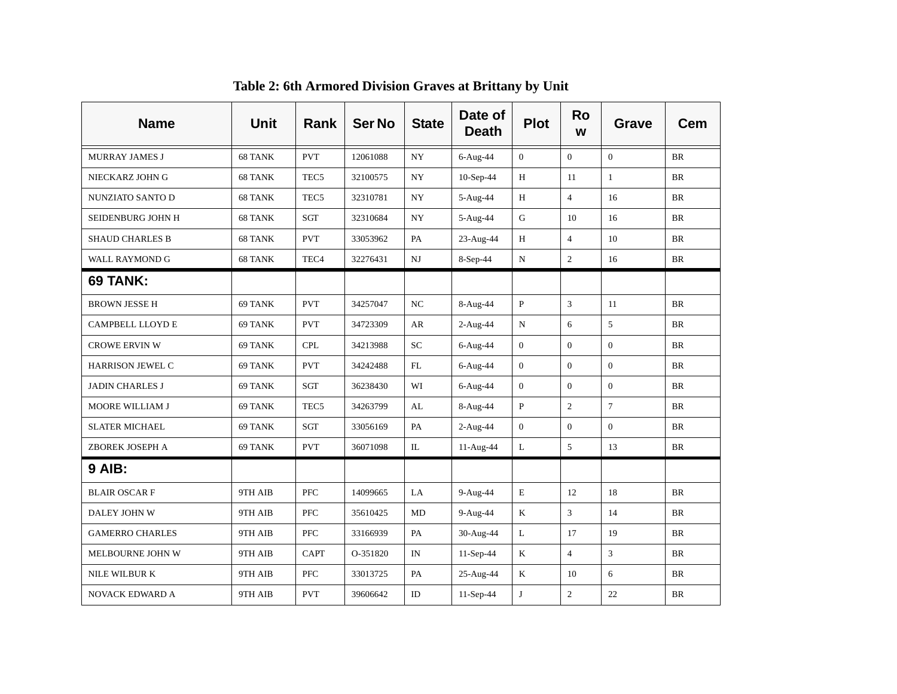| <b>Name</b>            | <b>Unit</b> | <b>Rank</b>      | <b>Ser No</b> | <b>State</b> | Date of<br><b>Death</b> | <b>Plot</b>    | <b>Ro</b><br>W | Grave          | <b>Cem</b> |
|------------------------|-------------|------------------|---------------|--------------|-------------------------|----------------|----------------|----------------|------------|
| MURRAY JAMES J         | 68 TANK     | <b>PVT</b>       | 12061088      | NY           | $6-Aug-44$              | $\mathbf{0}$   | $\Omega$       | $\Omega$       | <b>BR</b>  |
| NIECKARZ JOHN G        | 68 TANK     | TEC <sub>5</sub> | 32100575      | <b>NY</b>    | $10-Sep-44$             | H              | 11             | $\mathbf{1}$   | <b>BR</b>  |
| NUNZIATO SANTO D       | 68 TANK     | TEC <sub>5</sub> | 32310781      | NY           | 5-Aug-44                | $\, {\rm H}$   | $\overline{4}$ | 16             | BR         |
| SEIDENBURG JOHN H      | 68 TANK     | SGT              | 32310684      | NY           | 5-Aug-44                | G              | 10             | 16             | <b>BR</b>  |
| <b>SHAUD CHARLES B</b> | 68 TANK     | <b>PVT</b>       | 33053962      | PA           | 23-Aug-44               | H              | $\overline{4}$ | 10             | <b>BR</b>  |
| WALL RAYMOND G         | 68 TANK     | TEC <sub>4</sub> | 32276431      | NJ           | 8-Sep-44                | N              | $\overline{2}$ | 16             | <b>BR</b>  |
| <b>69 TANK:</b>        |             |                  |               |              |                         |                |                |                |            |
| <b>BROWN JESSE H</b>   | 69 TANK     | <b>PVT</b>       | 34257047      | NC           | 8-Aug-44                | $\mathbf{P}$   | 3              | 11             | <b>BR</b>  |
| CAMPBELL LLOYD E       | 69 TANK     | <b>PVT</b>       | 34723309      | AR           | $2-Aug-44$              | $\mathbf N$    | 6              | 5              | <b>BR</b>  |
| <b>CROWE ERVIN W</b>   | 69 TANK     | <b>CPL</b>       | 34213988      | <b>SC</b>    | 6-Aug-44                | $\mathbf{0}$   | $\overline{0}$ | $\overline{0}$ | BR         |
| HARRISON JEWEL C       | 69 TANK     | <b>PVT</b>       | 34242488      | ${\rm FL}$   | 6-Aug-44                | $\overline{0}$ | $\Omega$       | $\mathbf{0}$   | <b>BR</b>  |
| <b>JADIN CHARLES J</b> | 69 TANK     | SGT              | 36238430      | WI           | 6-Aug-44                | $\mathbf{0}$   | $\overline{0}$ | $\mathbf{0}$   | <b>BR</b>  |
| MOORE WILLIAM J        | 69 TANK     | TEC <sub>5</sub> | 34263799      | AL           | 8-Aug-44                | $\mathbf{P}$   | $\overline{c}$ | $\tau$         | <b>BR</b>  |
| <b>SLATER MICHAEL</b>  | 69 TANK     | SGT              | 33056169      | PA           | $2-Aug-44$              | $\Omega$       | $\Omega$       | $\Omega$       | <b>BR</b>  |
| ZBOREK JOSEPH A        | 69 TANK     | <b>PVT</b>       | 36071098      | IL           | 11-Aug-44               | L              | 5              | 13             | BR         |
| <b>9 AIB:</b>          |             |                  |               |              |                         |                |                |                |            |
| <b>BLAIR OSCARF</b>    | 9TH AIB     | <b>PFC</b>       | 14099665      | LA           | 9-Aug-44                | E              | 12             | 18             | BR         |
| DALEY JOHN W           | 9TH AIB     | <b>PFC</b>       | 35610425      | MD           | 9-Aug-44                | K              | 3              | 14             | BR         |
| <b>GAMERRO CHARLES</b> | 9TH AIB     | PFC              | 33166939      | PA           | 30-Aug-44               | L              | 17             | 19             | <b>BR</b>  |
| MELBOURNE JOHN W       | 9TH AIB     | <b>CAPT</b>      | O-351820      | IN           | $11-Sep-44$             | $\rm K$        | $\overline{4}$ | $\mathfrak{Z}$ | BR         |
| NILE WILBUR K          | 9TH AIB     | <b>PFC</b>       | 33013725      | PA           | 25-Aug-44               | $\rm K$        | 10             | 6              | <b>BR</b>  |
| <b>NOVACK EDWARD A</b> | 9TH AIB     | <b>PVT</b>       | 39606642      | ID           | 11-Sep-44               | $\mathbf{J}$   | $\overline{2}$ | 22             | BR         |

**Table 2: 6th Armored Division Graves at Brittany by Unit**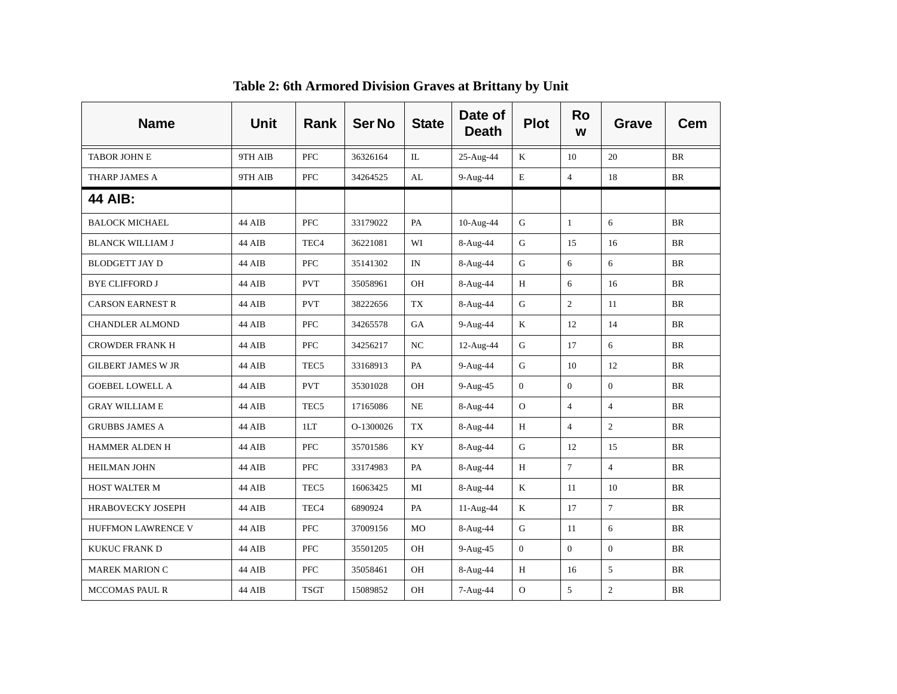| <b>Name</b>               | <b>Unit</b> | <b>Rank</b>      | <b>Ser No</b> | <b>State</b>   | Date of<br><b>Death</b> | <b>Plot</b>    | <b>Ro</b><br>W | Grave          | Cem       |
|---------------------------|-------------|------------------|---------------|----------------|-------------------------|----------------|----------------|----------------|-----------|
| <b>TABOR JOHN E</b>       | 9TH AIB     | <b>PFC</b>       | 36326164      | IL.            | 25-Aug-44               | $\rm K$        | 10             | 20             | BR        |
| THARP JAMES A             | 9TH AIB     | PFC              | 34264525      | AL             | 9-Aug-44                | E              | $\overline{4}$ | 18             | BR        |
| <b>44 AIB:</b>            |             |                  |               |                |                         |                |                |                |           |
| <b>BALOCK MICHAEL</b>     | 44 AIB      | <b>PFC</b>       | 33179022      | PA             | 10-Aug-44               | G              | $\mathbf{1}$   | 6              | BR        |
| <b>BLANCK WILLIAM J</b>   | 44 AIB      | TEC <sub>4</sub> | 36221081      | WI             | 8-Aug-44                | G              | 15             | 16             | BR        |
| <b>BLODGETT JAY D</b>     | 44 AIB      | <b>PFC</b>       | 35141302      | IN             | 8-Aug-44                | G              | 6              | 6              | BR        |
| <b>BYE CLIFFORD J</b>     | 44 AIB      | <b>PVT</b>       | 35058961      | OH             | 8-Aug-44                | H              | 6              | 16             | <b>BR</b> |
| <b>CARSON EARNEST R</b>   | 44 AIB      | <b>PVT</b>       | 38222656      | TX             | 8-Aug-44                | G              | $\overline{2}$ | 11             | <b>BR</b> |
| <b>CHANDLER ALMOND</b>    | 44 AIB      | PFC              | 34265578      | GA             | 9-Aug-44                | K              | 12             | 14             | BR        |
| <b>CROWDER FRANK H</b>    | 44 AIB      | PFC              | 34256217      | NC             | 12-Aug-44               | $\mathbf G$    | 17             | 6              | BR        |
| <b>GILBERT JAMES W JR</b> | 44 AIB      | TEC <sub>5</sub> | 33168913      | PA             | 9-Aug-44                | $\mathbf G$    | 10             | 12             | BR        |
| <b>GOEBEL LOWELL A</b>    | 44 AIB      | <b>PVT</b>       | 35301028      | OH             | 9-Aug-45                | $\Omega$       | $\overline{0}$ | $\overline{0}$ | <b>BR</b> |
| <b>GRAY WILLIAM E</b>     | 44 AIB      | TEC <sub>5</sub> | 17165086      | $\rm NE$       | 8-Aug-44                | $\overline{O}$ | $\overline{4}$ | $\overline{4}$ | <b>BR</b> |
| <b>GRUBBS JAMES A</b>     | 44 AIB      | 1LT              | O-1300026     | TX             | 8-Aug-44                | H              | $\overline{4}$ | $\overline{2}$ | BR        |
| <b>HAMMER ALDEN H</b>     | 44 AIB      | PFC              | 35701586      | <b>KY</b>      | 8-Aug-44                | G              | 12             | 15             | <b>BR</b> |
| <b>HEILMAN JOHN</b>       | 44 AIB      | <b>PFC</b>       | 33174983      | PA             | 8-Aug-44                | H              | $\overline{7}$ | $\overline{4}$ | <b>BR</b> |
| HOST WALTER M             | 44 AIB      | TEC <sub>5</sub> | 16063425      | MI             | 8-Aug-44                | $\rm K$        | 11             | 10             | BR        |
| HRABOVECKY JOSEPH         | 44 AIB      | TEC <sub>4</sub> | 6890924       | PA             | 11-Aug-44               | K              | 17             | $\overline{7}$ | BR        |
| HUFFMON LAWRENCE V        | 44 AIB      | <b>PFC</b>       | 37009156      | M <sub>O</sub> | 8-Aug-44                | G              | 11             | 6              | BR        |
| KUKUC FRANK D             | 44 AIB      | <b>PFC</b>       | 35501205      | OH             | 9-Aug-45                | $\Omega$       | $\Omega$       | $\Omega$       | BR        |
| <b>MAREK MARION C</b>     | 44 AIB      | PFC              | 35058461      | OH             | 8-Aug-44                | $\, {\rm H}$   | 16             | 5              | <b>BR</b> |
| <b>MCCOMAS PAUL R</b>     | 44 AIB      | <b>TSGT</b>      | 15089852      | OH             | 7-Aug-44                | $\Omega$       | 5              | $\overline{2}$ | BR        |

**Table 2: 6th Armored Division Graves at Brittany by Unit**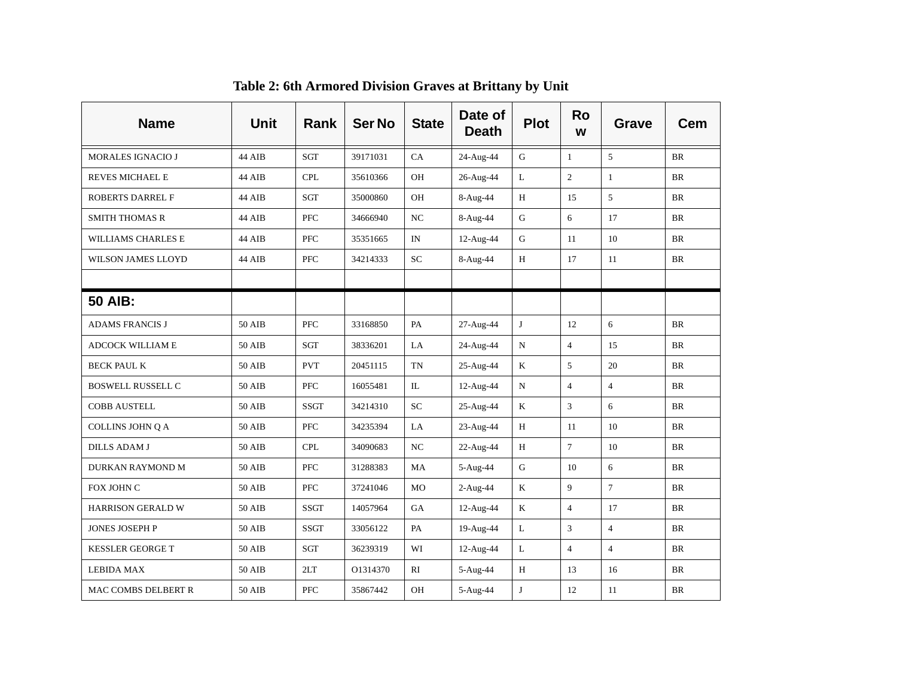| <b>Name</b>               | <b>Unit</b>   | Rank        | <b>Ser No</b> | <b>State</b> | Date of<br><b>Death</b> | <b>Plot</b> | <b>Ro</b><br>W | <b>Grave</b>   | Cem       |
|---------------------------|---------------|-------------|---------------|--------------|-------------------------|-------------|----------------|----------------|-----------|
| <b>MORALES IGNACIO J</b>  | 44 AIB        | SGT         | 39171031      | CA           | 24-Aug-44               | $\mathbf G$ | $\mathbf{1}$   | 5              | <b>BR</b> |
| REVES MICHAEL E           | 44 AIB        | <b>CPL</b>  | 35610366      | OН           | 26-Aug-44               | L           | $\overline{2}$ | $\mathbf{1}$   | <b>BR</b> |
| ROBERTS DARREL F          | 44 AIB        | SGT         | 35000860      | OН           | 8-Aug-44                | H           | 15             | 5              | <b>BR</b> |
| <b>SMITH THOMAS R</b>     | 44 AIB        | PFC         | 34666940      | NC           | 8-Aug-44                | $\mathbf G$ | 6              | 17             | BR        |
| WILLIAMS CHARLES E        | 44 AIB        | PFC         | 35351665      | IN           | 12-Aug-44               | ${\bf G}$   | 11             | 10             | <b>BR</b> |
| <b>WILSON JAMES LLOYD</b> | 44 AIB        | PFC         | 34214333      | SC.          | 8-Aug-44                | H           | 17             | 11             | <b>BR</b> |
|                           |               |             |               |              |                         |             |                |                |           |
| <b>50 AIB:</b>            |               |             |               |              |                         |             |                |                |           |
| <b>ADAMS FRANCIS J</b>    | <b>50 AIB</b> | PFC         | 33168850      | PA           | 27-Aug-44               | $\bf J$     | 12             | 6              | BR        |
| ADCOCK WILLIAM E          | 50 AIB        | SGT         | 38336201      | LA           | 24-Aug-44               | $\mathbf N$ | $\overline{4}$ | 15             | BR        |
| <b>BECK PAUL K</b>        | <b>50 AIB</b> | <b>PVT</b>  | 20451115      | <b>TN</b>    | 25-Aug-44               | $\bf K$     | 5              | 20             | BR        |
| <b>BOSWELL RUSSELL C</b>  | 50 AIB        | PFC         | 16055481      | IL           | 12-Aug-44               | ${\bf N}$   | $\overline{4}$ | $\overline{4}$ | $\rm{BR}$ |
| COBB AUSTELL              | 50 AIB        | <b>SSGT</b> | 34214310      | <b>SC</b>    | 25-Aug-44               | $\mathbf K$ | $\overline{3}$ | 6              | <b>BR</b> |
| COLLINS JOHN Q A          | 50 AIB        | <b>PFC</b>  | 34235394      | LA           | 23-Aug-44               | H           | 11             | 10             | <b>BR</b> |
| <b>DILLS ADAM J</b>       | 50 AIB        | <b>CPL</b>  | 34090683      | NC           | 22-Aug-44               | H           | $\overline{7}$ | 10             | <b>BR</b> |
| DURKAN RAYMOND M          | 50 AIB        | <b>PFC</b>  | 31288383      | MA           | 5-Aug-44                | G           | 10             | 6              | <b>BR</b> |
| FOX JOHN C                | <b>50 AIB</b> | <b>PFC</b>  | 37241046      | MO           | $2-Aug-44$              | K           | 9              | $\overline{7}$ | <b>BR</b> |
| <b>HARRISON GERALD W</b>  | 50 AIB        | <b>SSGT</b> | 14057964      | <b>GA</b>    | 12-Aug-44               | K           | $\overline{4}$ | 17             | <b>BR</b> |
| JONES JOSEPH P            | 50 AIB        | <b>SSGT</b> | 33056122      | PA           | 19-Aug-44               | L           | $\overline{3}$ | $\overline{4}$ | <b>BR</b> |
| <b>KESSLER GEORGE T</b>   | <b>50 AIB</b> | SGT         | 36239319      | WI           | 12-Aug-44               | L           | $\overline{4}$ | $\overline{4}$ | <b>BR</b> |
| <b>LEBIDA MAX</b>         | <b>50 AIB</b> | 2LT         | O1314370      | RI           | 5-Aug-44                | $\,$ H      | 13             | 16             | <b>BR</b> |
| MAC COMBS DELBERT R       | <b>50 AIB</b> | <b>PFC</b>  | 35867442      | OH           | 5-Aug-44                | $\bf J$     | 12             | 11             | <b>BR</b> |

**Table 2: 6th Armored Division Graves at Brittany by Unit**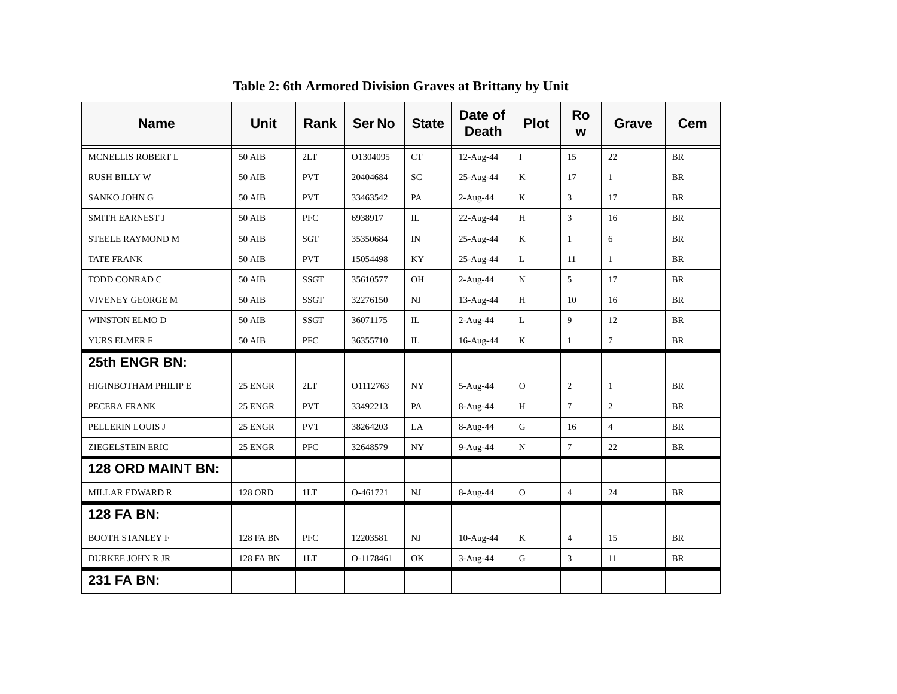| <b>Name</b>                 | Unit           | Rank        | <b>Ser No</b> | <b>State</b> | Date of<br><b>Death</b> | <b>Plot</b>    | <b>Ro</b><br>W | <b>Grave</b>   | Cem       |
|-----------------------------|----------------|-------------|---------------|--------------|-------------------------|----------------|----------------|----------------|-----------|
| MCNELLIS ROBERT L           | 50 AIB         | 2LT         | O1304095      | CT           | 12-Aug-44               | $\mathbf{I}$   | 1.5            | 22             | <b>BR</b> |
| <b>RUSH BILLY W</b>         | <b>50 AIB</b>  | <b>PVT</b>  | 20404684      | SC           | 25-Aug-44               | K              | 17             | $\mathbf{1}$   | <b>BR</b> |
| <b>SANKO JOHN G</b>         | 50 AIB         | <b>PVT</b>  | 33463542      | PA           | 2-Aug-44                | $\rm K$        | 3              | 17             | <b>BR</b> |
| <b>SMITH EARNEST J</b>      | <b>50 AIB</b>  | PFC         | 6938917       | IL           | 22-Aug-44               | $\, {\rm H}$   | 3              | 16             | <b>BR</b> |
| STEELE RAYMOND M            | 50 AIB         | SGT         | 35350684      | IN           | 25-Aug-44               | $\mathbf K$    | $\mathbf{1}$   | 6              | <b>BR</b> |
| <b>TATE FRANK</b>           | 50 AIB         | <b>PVT</b>  | 15054498      | KY           | 25-Aug-44               | L              | 11             | $\mathbf{1}$   | <b>BR</b> |
| TODD CONRAD C               | <b>50 AIB</b>  | <b>SSGT</b> | 35610577      | OH           | $2-Aug-44$              | $\mathbf N$    | 5              | 17             | BR        |
| <b>VIVENEY GEORGE M</b>     | 50 AIB         | SSGT        | 32276150      | $_{\rm NJ}$  | 13-Aug-44               | H              | 10             | 16             | <b>BR</b> |
| <b>WINSTON ELMO D</b>       | 50 AIB         | <b>SSGT</b> | 36071175      | IL           | $2-Aug-44$              | L              | 9              | 12             | <b>BR</b> |
| YURS ELMER F                | 50 AIB         | <b>PFC</b>  | 36355710      | IL           | 16-Aug-44               | $\mathbf K$    | $\mathbf{1}$   | $\overline{7}$ | <b>BR</b> |
| 25th ENGR BN:               |                |             |               |              |                         |                |                |                |           |
| <b>HIGINBOTHAM PHILIP E</b> | 25 ENGR        | 2LT         | O1112763      | <b>NY</b>    | 5-Aug-44                | $\overline{O}$ | $\overline{2}$ | $\mathbf{1}$   | <b>BR</b> |
| PECERA FRANK                | 25 ENGR        | <b>PVT</b>  | 33492213      | PA           | 8-Aug-44                | H              | $\overline{7}$ | $\overline{2}$ | <b>BR</b> |
| PELLERIN LOUIS J            | 25 ENGR        | <b>PVT</b>  | 38264203      | LA           | 8-Aug-44                | ${\bf G}$      | 16             | $\overline{4}$ | BR        |
| ZIEGELSTEIN ERIC            | 25 ENGR        | <b>PFC</b>  | 32648579      | <b>NY</b>    | 9-Aug-44                | N              | $\overline{7}$ | 22             | <b>BR</b> |
| <b>128 ORD MAINT BN:</b>    |                |             |               |              |                         |                |                |                |           |
| <b>MILLAR EDWARD R</b>      | <b>128 ORD</b> | 1LT         | O-461721      | $_{\rm NJ}$  | 8-Aug-44                | $\mathbf{O}$   | $\overline{4}$ | 24             | BR        |
| <b>128 FA BN:</b>           |                |             |               |              |                         |                |                |                |           |
| <b>BOOTH STANLEY F</b>      | 128 FA BN      | <b>PFC</b>  | 12203581      | $_{\rm NJ}$  | 10-Aug-44               | $\mathbf K$    | $\overline{4}$ | 15             | <b>BR</b> |
| <b>DURKEE JOHN R JR</b>     | 128 FA BN      | 1LT         | O-1178461     | OK           | 3-Aug-44                | ${\bf G}$      | 3              | 11             | BR        |
| 231 FA BN:                  |                |             |               |              |                         |                |                |                |           |

**Table 2: 6th Armored Division Graves at Brittany by Unit**